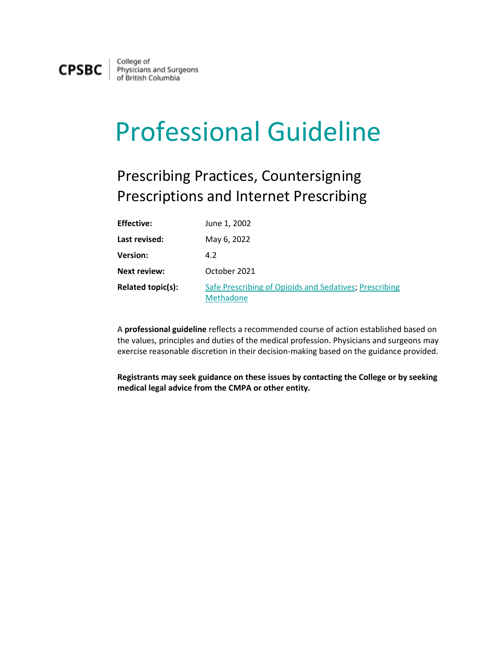

College of Physicians and Surgeons<br>of British Columbia

## Professional Guideline

## Prescribing Practices, Countersigning Prescriptions and Internet Prescribing

| <b>Effective:</b>   | June 1, 2002                                                        |
|---------------------|---------------------------------------------------------------------|
| Last revised:       | May 6, 2022                                                         |
| <b>Version:</b>     | 4.2                                                                 |
| <b>Next review:</b> | October 2021                                                        |
| Related topic(s):   | Safe Prescribing of Opioids and Sedatives; Prescribing<br>Methadone |

A **professional guideline** reflects a recommended course of action established based on the values, principles and duties of the medical profession. Physicians and surgeons may exercise reasonable discretion in their decision-making based on the guidance provided.

**Registrants may seek guidance on these issues by contacting the College or by seeking medical legal advice from the CMPA or other entity.**